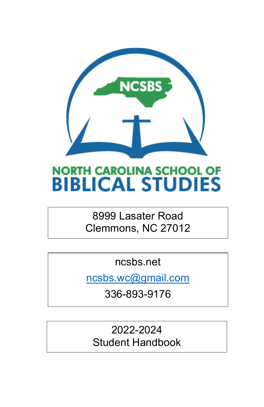

# **NORTH CAROLINA SCHOOL OF BIBLICAL STUDIES**

# 8999 Lasater Road Clemmons, NC 27012

ncsbs.net

[ncsbs.wc@gmail.com](mailto:ncsbs.wc@gmail.com)

336-893-9176

2022-2024 Student Handbook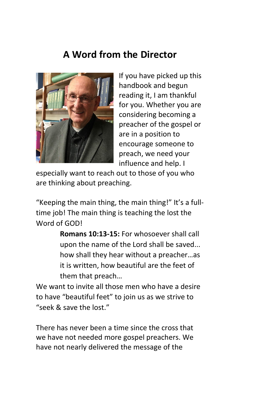# **A Word from the Director**



If you have picked up this handbook and begun reading it, I am thankful for you. Whether you are considering becoming a preacher of the gospel or are in a position to encourage someone to preach, we need your influence and help. I

especially want to reach out to those of you who are thinking about preaching.

"Keeping the main thing, the main thing!" It's a fulltime job! The main thing is teaching the lost the Word of GOD!

> **Romans 10:13-15:** For whosoever shall call upon the name of the Lord shall be saved... how shall they hear without a preacher…as it is written, how beautiful are the feet of them that preach…

We want to invite all those men who have a desire to have "beautiful feet" to join us as we strive to "seek & save the lost."

There has never been a time since the cross that we have not needed more gospel preachers. We have not nearly delivered the message of the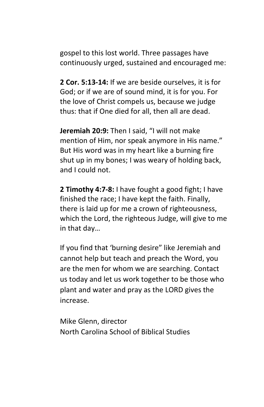gospel to this lost world. Three passages have continuously urged, sustained and encouraged me:

**2 Cor. 5:13-14:** If we are beside ourselves, it is for God; or if we are of sound mind, it is for you. For the love of Christ compels us, because we judge thus: that if One died for all, then all are dead.

**Jeremiah 20:9:** Then I said, "I will not make mention of Him, nor speak anymore in His name." But His word was in my heart like a burning fire shut up in my bones; I was weary of holding back, and I could not.

**2 Timothy 4:7-8:** I have fought a good fight; I have finished the race; I have kept the faith. Finally, there is laid up for me a crown of righteousness, which the Lord, the righteous Judge, will give to me in that day…

If you find that 'burning desire" like Jeremiah and cannot help but teach and preach the Word, you are the men for whom we are searching. Contact us today and let us work together to be those who plant and water and pray as the LORD gives the increase.

Mike Glenn, director North Carolina School of Biblical Studies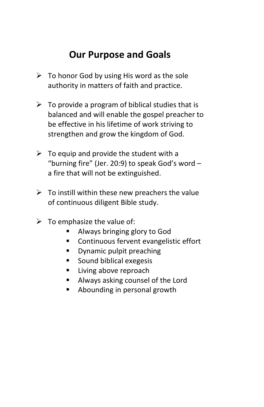# **Our Purpose and Goals**

- $\triangleright$  To honor God by using His word as the sole authority in matters of faith and practice.
- $\triangleright$  To provide a program of biblical studies that is balanced and will enable the gospel preacher to be effective in his lifetime of work striving to strengthen and grow the kingdom of God.
- $\triangleright$  To equip and provide the student with a "burning fire" (Jer. 20:9) to speak God's word – a fire that will not be extinguished.
- $\triangleright$  To instill within these new preachers the value of continuous diligent Bible study.
- $\triangleright$  To emphasize the value of:
	- Always bringing glory to God
	- **Continuous fervent evangelistic effort**
	- **Dynamic pulpit preaching**
	- Sound biblical exegesis
	- **Living above reproach**
	- **Always asking counsel of the Lord**
	- **Abounding in personal growth**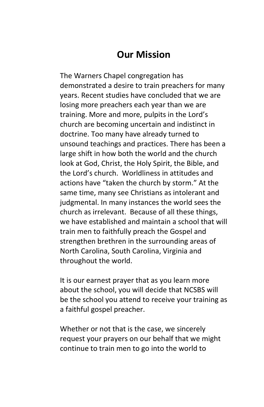### **Our Mission**

The Warners Chapel congregation has demonstrated a desire to train preachers for many years. Recent studies have concluded that we are losing more preachers each year than we are training. More and more, pulpits in the Lord's church are becoming uncertain and indistinct in doctrine. Too many have already turned to unsound teachings and practices. There has been a large shift in how both the world and the church look at God, Christ, the Holy Spirit, the Bible, and the Lord's church. Worldliness in attitudes and actions have "taken the church by storm." At the same time, many see Christians as intolerant and judgmental. In many instances the world sees the church as irrelevant. Because of all these things, we have established and maintain a school that will train men to faithfully preach the Gospel and strengthen brethren in the surrounding areas of North Carolina, South Carolina, Virginia and throughout the world.

It is our earnest prayer that as you learn more about the school, you will decide that NCSBS will be the school you attend to receive your training as a faithful gospel preacher.

Whether or not that is the case, we sincerely request your prayers on our behalf that we might continue to train men to go into the world to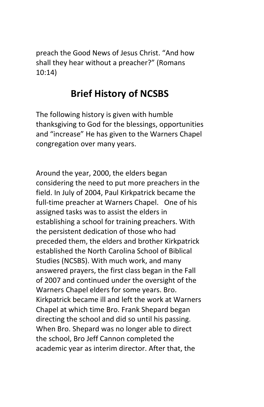preach the Good News of Jesus Christ. "And how shall they hear without a preacher?" (Romans 10:14)

# **Brief History of NCSBS**

The following history is given with humble thanksgiving to God for the blessings, opportunities and "increase" He has given to the Warners Chapel congregation over many years.

Around the year, 2000, the elders began considering the need to put more preachers in the field. In July of 2004, Paul Kirkpatrick became the full-time preacher at Warners Chapel. One of his assigned tasks was to assist the elders in establishing a school for training preachers. With the persistent dedication of those who had preceded them, the elders and brother Kirkpatrick established the North Carolina School of Biblical Studies (NCSBS). With much work, and many answered prayers, the first class began in the Fall of 2007 and continued under the oversight of the Warners Chapel elders for some years. Bro. Kirkpatrick became ill and left the work at Warners Chapel at which time Bro. Frank Shepard began directing the school and did so until his passing. When Bro. Shepard was no longer able to direct the school, Bro Jeff Cannon completed the academic year as interim director. After that, the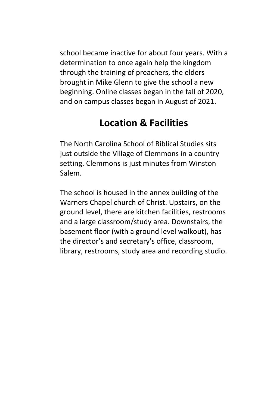school became inactive for about four years. With a determination to once again help the kingdom through the training of preachers, the elders brought in Mike Glenn to give the school a new beginning. Online classes began in the fall of 2020, and on campus classes began in August of 2021.

# **Location & Facilities**

The North Carolina School of Biblical Studies sits just outside the Village of Clemmons in a country setting. Clemmons is just minutes from Winston Salem.

The school is housed in the annex building of the Warners Chapel church of Christ. Upstairs, on the ground level, there are kitchen facilities, restrooms and a large classroom/study area. Downstairs, the basement floor (with a ground level walkout), has the director's and secretary's office, classroom, library, restrooms, study area and recording studio.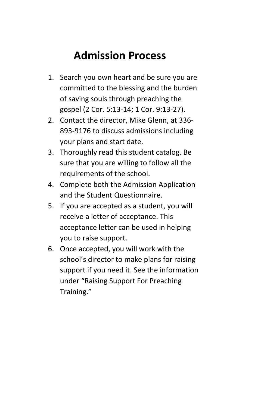# **Admission Process**

- 1. Search you own heart and be sure you are committed to the blessing and the burden of saving souls through preaching the gospel (2 Cor. 5:13-14; 1 Cor. 9:13-27).
- 2. Contact the director, Mike Glenn, at 336- 893-9176 to discuss admissions including your plans and start date.
- 3. Thoroughly read this student catalog. Be sure that you are willing to follow all the requirements of the school.
- 4. Complete both the Admission Application and the Student Questionnaire.
- 5. If you are accepted as a student, you will receive a letter of acceptance. This acceptance letter can be used in helping you to raise support.
- 6. Once accepted, you will work with the school's director to make plans for raising support if you need it. See the information under "Raising Support For Preaching Training."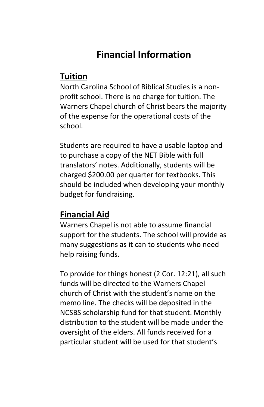# **Financial Information**

#### **Tuition**

North Carolina School of Biblical Studies is a nonprofit school. There is no charge for tuition. The Warners Chapel church of Christ bears the majority of the expense for the operational costs of the school.

Students are required to have a usable laptop and to purchase a copy of the NET Bible with full translators' notes. Additionally, students will be charged \$200.00 per quarter for textbooks. This should be included when developing your monthly budget for fundraising.

#### **Financial Aid**

Warners Chapel is not able to assume financial support for the students. The school will provide as many suggestions as it can to students who need help raising funds.

To provide for things honest (2 Cor. 12:21), all such funds will be directed to the Warners Chapel church of Christ with the student's name on the memo line. The checks will be deposited in the NCSBS scholarship fund for that student. Monthly distribution to the student will be made under the oversight of the elders. All funds received for a particular student will be used for that student's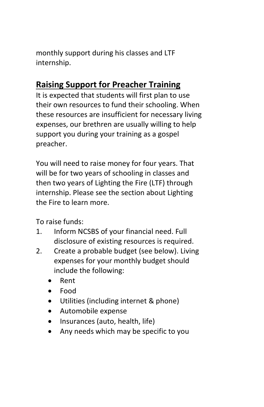monthly support during his classes and LTF internship.

# **Raising Support for Preacher Training**

It is expected that students will first plan to use their own resources to fund their schooling. When these resources are insufficient for necessary living expenses, our brethren are usually willing to help support you during your training as a gospel preacher.

You will need to raise money for four years. That will be for two years of schooling in classes and then two years of Lighting the Fire (LTF) through internship. Please see the section about Lighting the Fire to learn more.

To raise funds:

- 1. Inform NCSBS of your financial need. Full disclosure of existing resources is required.
- 2. Create a probable budget (see below). Living expenses for your monthly budget should include the following:
	- Rent
	- Food
	- Utilities (including internet & phone)
	- Automobile expense
	- Insurances (auto, health, life)
	- Any needs which may be specific to you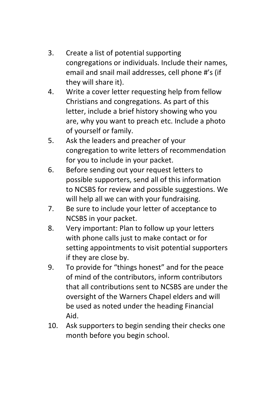- 3. Create a list of potential supporting congregations or individuals. Include their names, email and snail mail addresses, cell phone #'s (if they will share it).
- 4. Write a cover letter requesting help from fellow Christians and congregations. As part of this letter, include a brief history showing who you are, why you want to preach etc. Include a photo of yourself or family.
- 5. Ask the leaders and preacher of your congregation to write letters of recommendation for you to include in your packet.
- 6. Before sending out your request letters to possible supporters, send all of this information to NCSBS for review and possible suggestions. We will help all we can with your fundraising.
- 7. Be sure to include your letter of acceptance to NCSBS in your packet.
- 8. Very important: Plan to follow up your letters with phone calls just to make contact or for setting appointments to visit potential supporters if they are close by.
- 9. To provide for "things honest" and for the peace of mind of the contributors, inform contributors that all contributions sent to NCSBS are under the oversight of the Warners Chapel elders and will be used as noted under the heading Financial Aid.
- 10. Ask supporters to begin sending their checks one month before you begin school.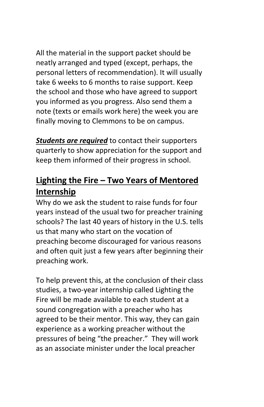All the material in the support packet should be neatly arranged and typed (except, perhaps, the personal letters of recommendation). It will usually take 6 weeks to 6 months to raise support. Keep the school and those who have agreed to support you informed as you progress. Also send them a note (texts or emails work here) the week you are finally moving to Clemmons to be on campus.

**Students are required** to contact their supporters quarterly to show appreciation for the support and keep them informed of their progress in school.

### **Lighting the Fire – Two Years of Mentored Internship**

Why do we ask the student to raise funds for four years instead of the usual two for preacher training schools? The last 40 years of history in the U.S. tells us that many who start on the vocation of preaching become discouraged for various reasons and often quit just a few years after beginning their preaching work.

To help prevent this, at the conclusion of their class studies, a two-year internship called Lighting the Fire will be made available to each student at a sound congregation with a preacher who has agreed to be their mentor. This way, they can gain experience as a working preacher without the pressures of being "the preacher." They will work as an associate minister under the local preacher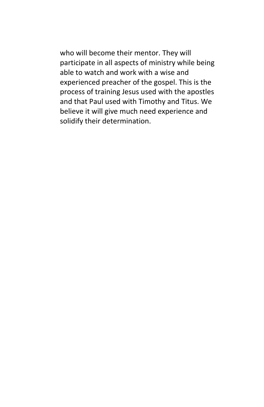who will become their mentor. They will participate in all aspects of ministry while being able to watch and work with a wise and experienced preacher of the gospel. This is the process of training Jesus used with the apostles and that Paul used with Timothy and Titus. We believe it will give much need experience and solidify their determination.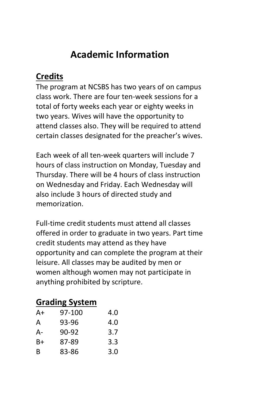# **Academic Information**

#### **Credits**

The program at NCSBS has two years of on campus class work. There are four ten-week sessions for a total of forty weeks each year or eighty weeks in two years. Wives will have the opportunity to attend classes also. They will be required to attend certain classes designated for the preacher's wives.

Each week of all ten-week quarters will include 7 hours of class instruction on Monday, Tuesday and Thursday. There will be 4 hours of class instruction on Wednesday and Friday. Each Wednesday will also include 3 hours of directed study and memorization.

Full-time credit students must attend all classes offered in order to graduate in two years. Part time credit students may attend as they have opportunity and can complete the program at their leisure. All classes may be audited by men or women although women may not participate in anything prohibited by scripture.

### **Grading System**

| A+ | 97-100 | 4.0 |
|----|--------|-----|
| А  | 93-96  | 4.0 |
| А- | 90-92  | 3.7 |
| B+ | 87-89  | 3.3 |
| R  | 83-86  | 3.0 |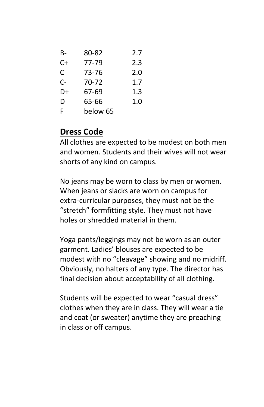| B- | 80-82    | 2.7 |
|----|----------|-----|
| C+ | 77-79    | 2.3 |
| C  | 73-76    | 2.0 |
| C- | 70-72    | 1.7 |
| D+ | 67-69    | 1.3 |
| D  | 65-66    | 1.0 |
| F  | below 65 |     |

### **Dress Code**

All clothes are expected to be modest on both men and women. Students and their wives will not wear shorts of any kind on campus.

No jeans may be worn to class by men or women. When jeans or slacks are worn on campus for extra-curricular purposes, they must not be the "stretch" formfitting style. They must not have holes or shredded material in them.

Yoga pants/leggings may not be worn as an outer garment. Ladies' blouses are expected to be modest with no "cleavage" showing and no midriff. Obviously, no halters of any type. The director has final decision about acceptability of all clothing.

Students will be expected to wear "casual dress" clothes when they are in class. They will wear a tie and coat (or sweater) anytime they are preaching in class or off campus.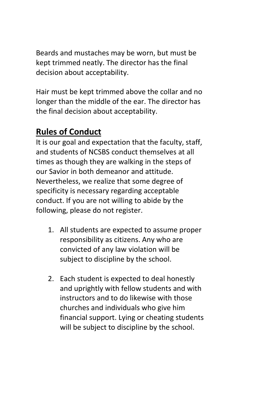Beards and mustaches may be worn, but must be kept trimmed neatly. The director has the final decision about acceptability.

Hair must be kept trimmed above the collar and no longer than the middle of the ear. The director has the final decision about acceptability.

### **Rules of Conduct**

It is our goal and expectation that the faculty, staff, and students of NCSBS conduct themselves at all times as though they are walking in the steps of our Savior in both demeanor and attitude. Nevertheless, we realize that some degree of specificity is necessary regarding acceptable conduct. If you are not willing to abide by the following, please do not register.

- 1. All students are expected to assume proper responsibility as citizens. Any who are convicted of any law violation will be subject to discipline by the school.
- 2. Each student is expected to deal honestly and uprightly with fellow students and with instructors and to do likewise with those churches and individuals who give him financial support. Lying or cheating students will be subject to discipline by the school.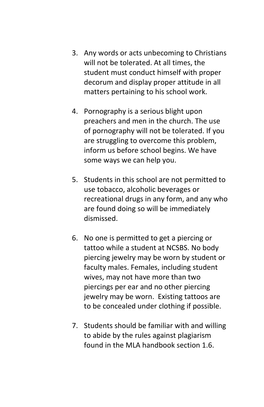- 3. Any words or acts unbecoming to Christians will not be tolerated. At all times, the student must conduct himself with proper decorum and display proper attitude in all matters pertaining to his school work.
- 4. Pornography is a serious blight upon preachers and men in the church. The use of pornography will not be tolerated. If you are struggling to overcome this problem, inform us before school begins. We have some ways we can help you.
- 5. Students in this school are not permitted to use tobacco, alcoholic beverages or recreational drugs in any form, and any who are found doing so will be immediately dismissed.
- 6. No one is permitted to get a piercing or tattoo while a student at NCSBS. No body piercing jewelry may be worn by student or faculty males. Females, including student wives, may not have more than two piercings per ear and no other piercing jewelry may be worn. Existing tattoos are to be concealed under clothing if possible.
- 7. Students should be familiar with and willing to abide by the rules against plagiarism found in the MLA handbook section 1.6.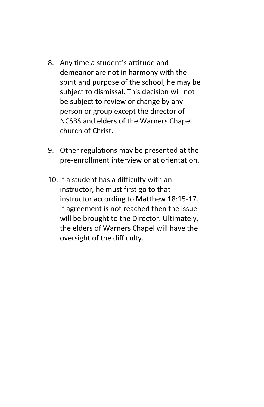- 8. Any time a student's attitude and demeanor are not in harmony with the spirit and purpose of the school, he may be subject to dismissal. This decision will not be subject to review or change by any person or group except the director of NCSBS and elders of the Warners Chapel church of Christ.
- 9. Other regulations may be presented at the pre-enrollment interview or at orientation.
- 10. If a student has a difficulty with an instructor, he must first go to that instructor according to Matthew 18:15-17. If agreement is not reached then the issue will be brought to the Director. Ultimately, the elders of Warners Chapel will have the oversight of the difficulty.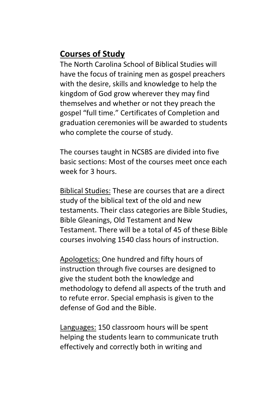### **Courses of Study**

The North Carolina School of Biblical Studies will have the focus of training men as gospel preachers with the desire, skills and knowledge to help the kingdom of God grow wherever they may find themselves and whether or not they preach the gospel "full time." Certificates of Completion and graduation ceremonies will be awarded to students who complete the course of study.

The courses taught in NCSBS are divided into five basic sections: Most of the courses meet once each week for 3 hours.

Biblical Studies: These are courses that are a direct study of the biblical text of the old and new testaments. Their class categories are Bible Studies, Bible Gleanings, Old Testament and New Testament. There will be a total of 45 of these Bible courses involving 1540 class hours of instruction.

Apologetics: One hundred and fifty hours of instruction through five courses are designed to give the student both the knowledge and methodology to defend all aspects of the truth and to refute error. Special emphasis is given to the defense of God and the Bible.

Languages: 150 classroom hours will be spent helping the students learn to communicate truth effectively and correctly both in writing and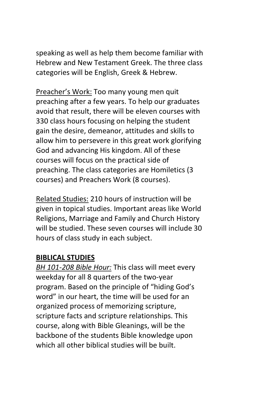speaking as well as help them become familiar with Hebrew and New Testament Greek. The three class categories will be English, Greek & Hebrew.

Preacher's Work: Too many young men quit preaching after a few years. To help our graduates avoid that result, there will be eleven courses with 330 class hours focusing on helping the student gain the desire, demeanor, attitudes and skills to allow him to persevere in this great work glorifying God and advancing His kingdom. All of these courses will focus on the practical side of preaching. The class categories are Homiletics (3 courses) and Preachers Work (8 courses).

Related Studies: 210 hours of instruction will be given in topical studies. Important areas like World Religions, Marriage and Family and Church History will be studied. These seven courses will include 30 hours of class study in each subject.

#### **BIBLICAL STUDIES**

*BH 101-208 Bible Hour:* This class will meet every weekday for all 8 quarters of the two-year program. Based on the principle of "hiding God's word" in our heart, the time will be used for an organized process of memorizing scripture, scripture facts and scripture relationships. This course, along with Bible Gleanings, will be the backbone of the students Bible knowledge upon which all other biblical studies will be built.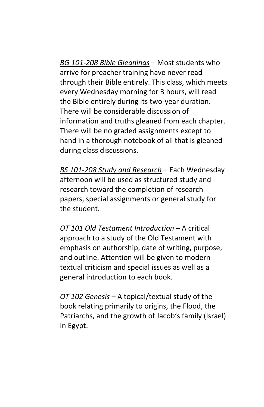*BG 101-208 Bible Gleanings* – Most students who arrive for preacher training have never read through their Bible entirely. This class, which meets every Wednesday morning for 3 hours, will read the Bible entirely during its two-year duration. There will be considerable discussion of information and truths gleaned from each chapter. There will be no graded assignments except to hand in a thorough notebook of all that is gleaned during class discussions.

*BS 101-208 Study and Research* – Each Wednesday afternoon will be used as structured study and research toward the completion of research papers, special assignments or general study for the student.

*OT 101 Old Testament Introduction* – A critical approach to a study of the Old Testament with emphasis on authorship, date of writing, purpose, and outline. Attention will be given to modern textual criticism and special issues as well as a general introduction to each book.

*OT 102 Genesis* – A topical/textual study of the book relating primarily to origins, the Flood, the Patriarchs, and the growth of Jacob's family (Israel) in Egypt.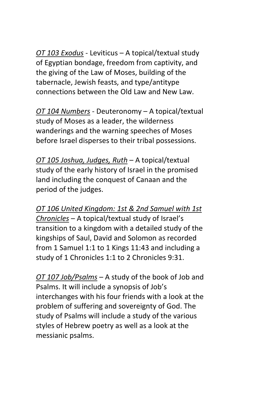*OT 103 Exodus* - Leviticus – A topical/textual study of Egyptian bondage, freedom from captivity, and the giving of the Law of Moses, building of the tabernacle, Jewish feasts, and type/antitype connections between the Old Law and New Law.

*OT 104 Numbers* - Deuteronomy – A topical/textual study of Moses as a leader, the wilderness wanderings and the warning speeches of Moses before Israel disperses to their tribal possessions.

*OT 105 Joshua, Judges, Ruth* – A topical/textual study of the early history of Israel in the promised land including the conquest of Canaan and the period of the judges.

*OT 106 United Kingdom: 1st & 2nd Samuel with 1st Chronicles* – A topical/textual study of Israel's transition to a kingdom with a detailed study of the kingships of Saul, David and Solomon as recorded from 1 Samuel 1:1 to 1 Kings 11:43 and including a study of 1 Chronicles 1:1 to 2 Chronicles 9:31.

*OT 107 Job/Psalms* – A study of the book of Job and Psalms. It will include a synopsis of Job's interchanges with his four friends with a look at the problem of suffering and sovereignty of God. The study of Psalms will include a study of the various styles of Hebrew poetry as well as a look at the messianic psalms.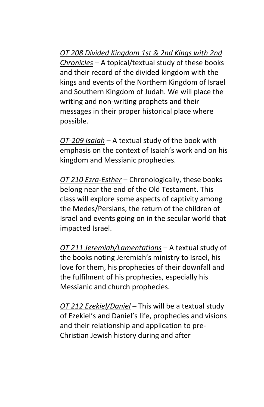*OT 208 Divided Kingdom 1st & 2nd Kings with 2nd Chronicles* – A topical/textual study of these books and their record of the divided kingdom with the kings and events of the Northern Kingdom of Israel and Southern Kingdom of Judah. We will place the writing and non-writing prophets and their messages in their proper historical place where possible.

*OT-209 Isaiah* – A textual study of the book with emphasis on the context of Isaiah's work and on his kingdom and Messianic prophecies.

*OT 210 Ezra-Esther* – Chronologically, these books belong near the end of the Old Testament. This class will explore some aspects of captivity among the Medes/Persians, the return of the children of Israel and events going on in the secular world that impacted Israel.

*OT 211 Jeremiah/Lamentations* – A textual study of the books noting Jeremiah's ministry to Israel, his love for them, his prophecies of their downfall and the fulfilment of his prophecies, especially his Messianic and church prophecies.

*OT 212 Ezekiel/Daniel* – This will be a textual study of Ezekiel's and Daniel's life, prophecies and visions and their relationship and application to pre-Christian Jewish history during and after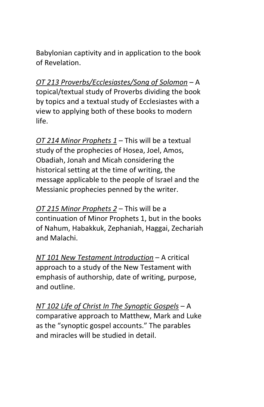Babylonian captivity and in application to the book of Revelation.

*OT 213 Proverbs/Ecclesiastes/Song of Solomon* – A topical/textual study of Proverbs dividing the book by topics and a textual study of Ecclesiastes with a view to applying both of these books to modern life.

*OT 214 Minor Prophets 1* – This will be a textual study of the prophecies of Hosea, Joel, Amos, Obadiah, Jonah and Micah considering the historical setting at the time of writing, the message applicable to the people of Israel and the Messianic prophecies penned by the writer.

*OT 215 Minor Prophets 2* – This will be a continuation of Minor Prophets 1, but in the books of Nahum, Habakkuk, Zephaniah, Haggai, Zechariah and Malachi.

*NT 101 New Testament Introduction* – A critical approach to a study of the New Testament with emphasis of authorship, date of writing, purpose, and outline.

*NT 102 Life of Christ In The Synoptic Gospels* – A comparative approach to Matthew, Mark and Luke as the "synoptic gospel accounts." The parables and miracles will be studied in detail.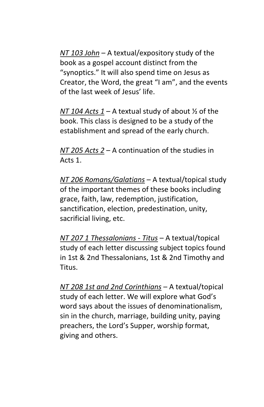*NT 103 John* – A textual/expository study of the book as a gospel account distinct from the "synoptics." It will also spend time on Jesus as Creator, the Word, the great "I am", and the events of the last week of Jesus' life.

*NT 104 Acts 1* – A textual study of about ½ of the book. This class is designed to be a study of the establishment and spread of the early church.

*NT 205 Acts 2* – A continuation of the studies in Acts 1.

*NT 206 Romans/Galatians* – A textual/topical study of the important themes of these books including grace, faith, law, redemption, justification, sanctification, election, predestination, unity, sacrificial living, etc.

*NT 207 1 Thessalonians - Titus* – A textual/topical study of each letter discussing subject topics found in 1st & 2nd Thessalonians, 1st & 2nd Timothy and Titus.

*NT 208 1st and 2nd Corinthians* – A textual/topical study of each letter. We will explore what God's word says about the issues of denominationalism, sin in the church, marriage, building unity, paying preachers, the Lord's Supper, worship format, giving and others.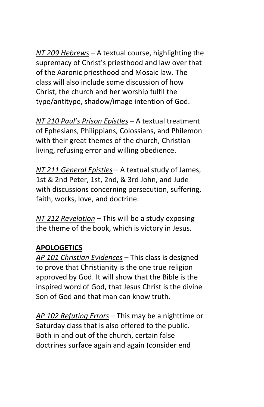*NT 209 Hebrews* – A textual course, highlighting the supremacy of Christ's priesthood and law over that of the Aaronic priesthood and Mosaic law. The class will also include some discussion of how Christ, the church and her worship fulfil the type/antitype, shadow/image intention of God.

*NT 210 Paul's Prison Epistles* – A textual treatment of Ephesians, Philippians, Colossians, and Philemon with their great themes of the church, Christian living, refusing error and willing obedience.

*NT 211 General Epistles* – A textual study of James, 1st & 2nd Peter, 1st, 2nd, & 3rd John, and Jude with discussions concerning persecution, suffering, faith, works, love, and doctrine.

*NT 212 Revelation* – This will be a study exposing the theme of the book, which is victory in Jesus.

#### **APOLOGETICS**

*AP 101 Christian Evidences* – This class is designed to prove that Christianity is the one true religion approved by God. It will show that the Bible is the inspired word of God, that Jesus Christ is the divine Son of God and that man can know truth.

*AP 102 Refuting Errors* – This may be a nighttime or Saturday class that is also offered to the public. Both in and out of the church, certain false doctrines surface again and again (consider end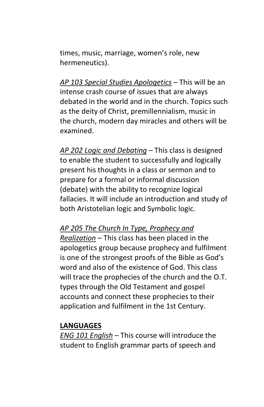times, music, marriage, women's role, new hermeneutics).

*AP 103 Special Studies Apologetics* – This will be an intense crash course of issues that are always debated in the world and in the church. Topics such as the deity of Christ, premillennialism, music in the church, modern day miracles and others will be examined.

*AP 202 Logic and Debating* – This class is designed to enable the student to successfully and logically present his thoughts in a class or sermon and to prepare for a formal or informal discussion (debate) with the ability to recognize logical fallacies. It will include an introduction and study of both Aristotelian logic and Symbolic logic.

*AP 205 The Church In Type, Prophecy and Realization* – This class has been placed in the apologetics group because prophecy and fulfilment is one of the strongest proofs of the Bible as God's word and also of the existence of God. This class will trace the prophecies of the church and the O.T. types through the Old Testament and gospel accounts and connect these prophecies to their application and fulfilment in the 1st Century.

#### **LANGUAGES**

*ENG 101 English* – This course will introduce the student to English grammar parts of speech and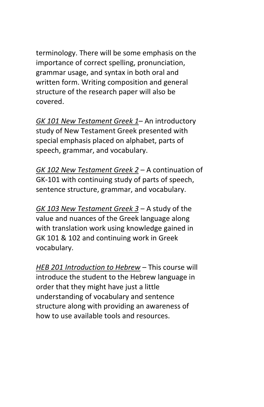terminology. There will be some emphasis on the importance of correct spelling, pronunciation, grammar usage, and syntax in both oral and written form. Writing composition and general structure of the research paper will also be covered.

*GK 101 New Testament Greek 1*– An introductory study of New Testament Greek presented with special emphasis placed on alphabet, parts of speech, grammar, and vocabulary.

*GK 102 New Testament Greek 2* – A continuation of GK-101 with continuing study of parts of speech, sentence structure, grammar, and vocabulary.

*GK 103 New Testament Greek 3* – A study of the value and nuances of the Greek language along with translation work using knowledge gained in GK 101 & 102 and continuing work in Greek vocabulary.

*HEB 201 Introduction to Hebrew* – This course will introduce the student to the Hebrew language in order that they might have just a little understanding of vocabulary and sentence structure along with providing an awareness of how to use available tools and resources.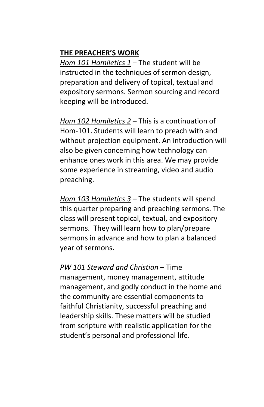#### **THE PREACHER'S WORK**

*Hom 101 Homiletics 1* – The student will be instructed in the techniques of sermon design. preparation and delivery of topical, textual and expository sermons. Sermon sourcing and record keeping will be introduced.

*Hom 102 Homiletics 2* – This is a continuation of Hom-101. Students will learn to preach with and without projection equipment. An introduction will also be given concerning how technology can enhance ones work in this area. We may provide some experience in streaming, video and audio preaching.

*Hom 103 Homiletics 3* – The students will spend this quarter preparing and preaching sermons. The class will present topical, textual, and expository sermons. They will learn how to plan/prepare sermons in advance and how to plan a balanced year of sermons.

*PW 101 Steward and Christian* – Time management, money management, attitude management, and godly conduct in the home and the community are essential components to faithful Christianity, successful preaching and leadership skills. These matters will be studied from scripture with realistic application for the student's personal and professional life.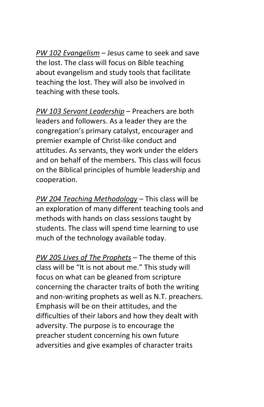*PW 102 Evangelism* – Jesus came to seek and save the lost. The class will focus on Bible teaching about evangelism and study tools that facilitate teaching the lost. They will also be involved in teaching with these tools.

*PW 103 Servant Leadership* – Preachers are both leaders and followers. As a leader they are the congregation's primary catalyst, encourager and premier example of Christ-like conduct and attitudes. As servants, they work under the elders and on behalf of the members. This class will focus on the Biblical principles of humble leadership and cooperation.

*PW 204 Teaching Methodology* – This class will be an exploration of many different teaching tools and methods with hands on class sessions taught by students. The class will spend time learning to use much of the technology available today.

*PW 205 Lives of The Prophets* – The theme of this class will be "It is not about me." This study will focus on what can be gleaned from scripture concerning the character traits of both the writing and non-writing prophets as well as N.T. preachers. Emphasis will be on their attitudes, and the difficulties of their labors and how they dealt with adversity. The purpose is to encourage the preacher student concerning his own future adversities and give examples of character traits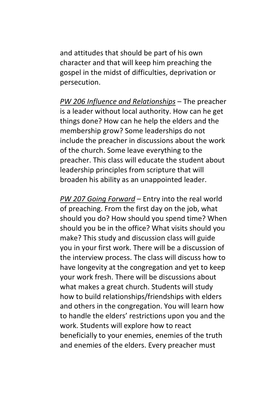and attitudes that should be part of his own character and that will keep him preaching the gospel in the midst of difficulties, deprivation or persecution.

*PW 206 Influence and Relationships* – The preacher is a leader without local authority. How can he get things done? How can he help the elders and the membership grow? Some leaderships do not include the preacher in discussions about the work of the church. Some leave everything to the preacher. This class will educate the student about leadership principles from scripture that will broaden his ability as an unappointed leader.

*PW 207 Going Forward* – Entry into the real world of preaching. From the first day on the job, what should you do? How should you spend time? When should you be in the office? What visits should you make? This study and discussion class will guide you in your first work. There will be a discussion of the interview process. The class will discuss how to have longevity at the congregation and yet to keep your work fresh. There will be discussions about what makes a great church. Students will study how to build relationships/friendships with elders and others in the congregation. You will learn how to handle the elders' restrictions upon you and the work. Students will explore how to react beneficially to your enemies, enemies of the truth and enemies of the elders. Every preacher must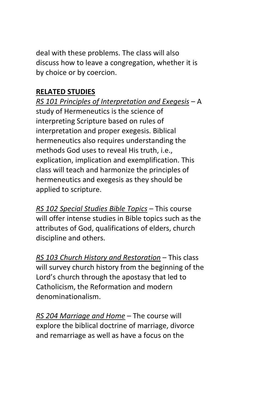deal with these problems. The class will also discuss how to leave a congregation, whether it is by choice or by coercion.

#### **RELATED STUDIES**

*RS 101 Principles of Interpretation and Exegesis* – A study of Hermeneutics is the science of interpreting Scripture based on rules of interpretation and proper exegesis. Biblical hermeneutics also requires understanding the methods God uses to reveal His truth, i.e., explication, implication and exemplification. This class will teach and harmonize the principles of hermeneutics and exegesis as they should be applied to scripture.

*RS 102 Special Studies Bible Topics* – This course will offer intense studies in Bible topics such as the attributes of God, qualifications of elders, church discipline and others.

*RS 103 Church History and Restoration* – This class will survey church history from the beginning of the Lord's church through the apostasy that led to Catholicism, the Reformation and modern denominationalism.

*RS 204 Marriage and Home* – The course will explore the biblical doctrine of marriage, divorce and remarriage as well as have a focus on the